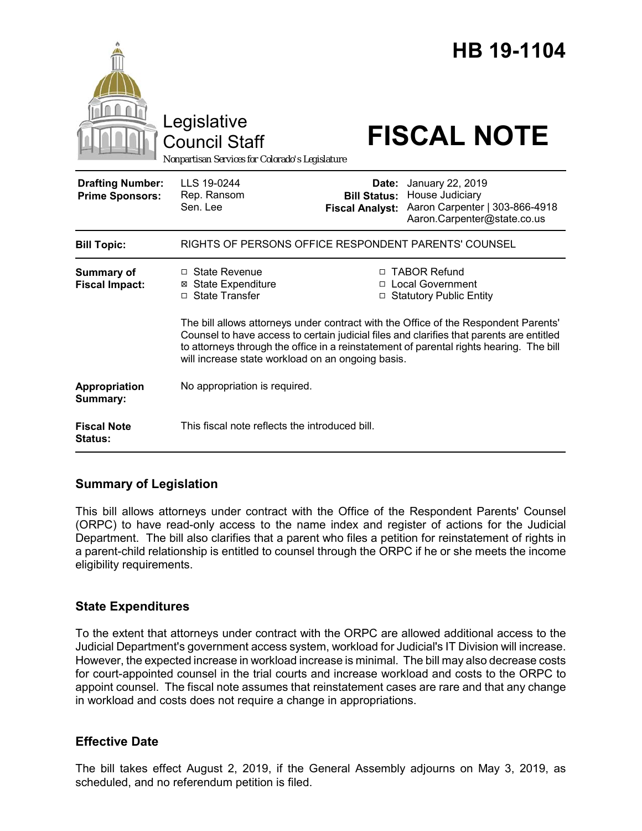|                                                   | Legislative<br><b>Council Staff</b><br>Nonpartisan Services for Colorado's Legislature                                                                                                                                                                                                                                          |                                                        | HB 19-1104<br><b>FISCAL NOTE</b>                                                                     |
|---------------------------------------------------|---------------------------------------------------------------------------------------------------------------------------------------------------------------------------------------------------------------------------------------------------------------------------------------------------------------------------------|--------------------------------------------------------|------------------------------------------------------------------------------------------------------|
| <b>Drafting Number:</b><br><b>Prime Sponsors:</b> | LLS 19-0244<br>Rep. Ransom<br>Sen. Lee                                                                                                                                                                                                                                                                                          | Date:<br><b>Bill Status:</b><br><b>Fiscal Analyst:</b> | January 22, 2019<br>House Judiciary<br>Aaron Carpenter   303-866-4918<br>Aaron.Carpenter@state.co.us |
| <b>Bill Topic:</b>                                | RIGHTS OF PERSONS OFFICE RESPONDENT PARENTS' COUNSEL                                                                                                                                                                                                                                                                            |                                                        |                                                                                                      |
| Summary of<br><b>Fiscal Impact:</b>               | $\Box$ State Revenue<br><b>⊠</b> State Expenditure<br>□ State Transfer                                                                                                                                                                                                                                                          |                                                        | □ TABOR Refund<br>□ Local Government<br>□ Statutory Public Entity                                    |
|                                                   | The bill allows attorneys under contract with the Office of the Respondent Parents'<br>Counsel to have access to certain judicial files and clarifies that parents are entitled<br>to attorneys through the office in a reinstatement of parental rights hearing. The bill<br>will increase state workload on an ongoing basis. |                                                        |                                                                                                      |
| Appropriation<br>Summary:                         | No appropriation is required.                                                                                                                                                                                                                                                                                                   |                                                        |                                                                                                      |
| <b>Fiscal Note</b><br><b>Status:</b>              | This fiscal note reflects the introduced bill.                                                                                                                                                                                                                                                                                  |                                                        |                                                                                                      |

## **Summary of Legislation**

This bill allows attorneys under contract with the Office of the Respondent Parents' Counsel (ORPC) to have read-only access to the name index and register of actions for the Judicial Department. The bill also clarifies that a parent who files a petition for reinstatement of rights in a parent-child relationship is entitled to counsel through the ORPC if he or she meets the income eligibility requirements.

## **State Expenditures**

To the extent that attorneys under contract with the ORPC are allowed additional access to the Judicial Department's government access system, workload for Judicial's IT Division will increase. However, the expected increase in workload increase is minimal. The bill may also decrease costs for court-appointed counsel in the trial courts and increase workload and costs to the ORPC to appoint counsel. The fiscal note assumes that reinstatement cases are rare and that any change in workload and costs does not require a change in appropriations.

## **Effective Date**

The bill takes effect August 2, 2019, if the General Assembly adjourns on May 3, 2019, as scheduled, and no referendum petition is filed.